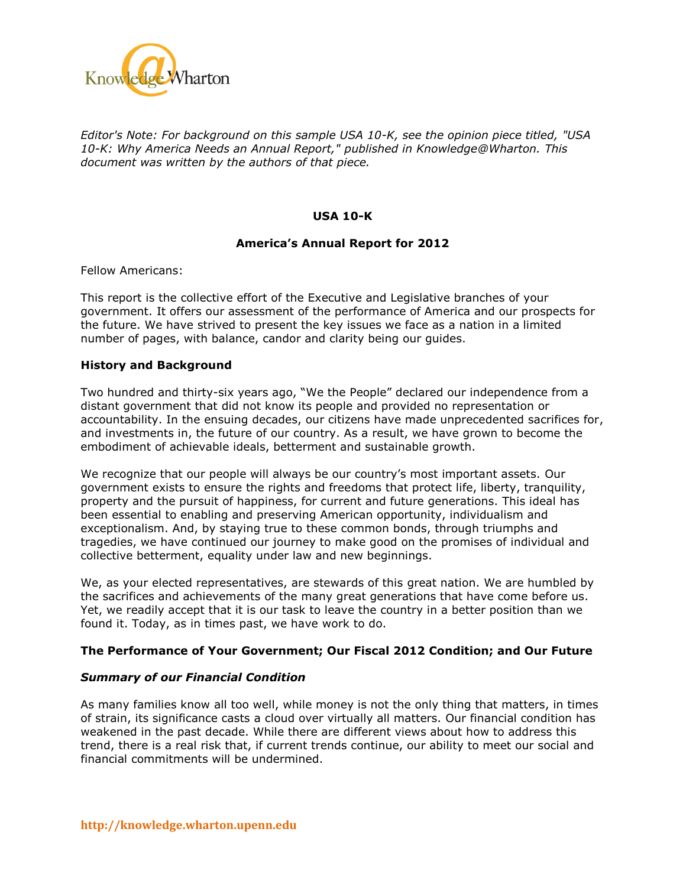

*Editor's Note: For background on this sample USA 10-K, see the opinion piece titled, "USA 10-K: Why America Needs an Annual Report," published in Knowledge@Wharton. This document was written by the authors of that piece.*

### **USA 10-K**

# **America's Annual Report for 2012**

Fellow Americans:

This report is the collective effort of the Executive and Legislative branches of your government. It offers our assessment of the performance of America and our prospects for the future. We have strived to present the key issues we face as a nation in a limited number of pages, with balance, candor and clarity being our guides.

# **History and Background**

Two hundred and thirty-six years ago, "We the People" declared our independence from a distant government that did not know its people and provided no representation or accountability. In the ensuing decades, our citizens have made unprecedented sacrifices for, and investments in, the future of our country. As a result, we have grown to become the embodiment of achievable ideals, betterment and sustainable growth.

We recognize that our people will always be our country's most important assets. Our government exists to ensure the rights and freedoms that protect life, liberty, tranquility, property and the pursuit of happiness, for current and future generations. This ideal has been essential to enabling and preserving American opportunity, individualism and exceptionalism. And, by staying true to these common bonds, through triumphs and tragedies, we have continued our journey to make good on the promises of individual and collective betterment, equality under law and new beginnings.

We, as your elected representatives, are stewards of this great nation. We are humbled by the sacrifices and achievements of the many great generations that have come before us. Yet, we readily accept that it is our task to leave the country in a better position than we found it. Today, as in times past, we have work to do.

# **The Performance of Your Government; Our Fiscal 2012 Condition; and Our Future**

# *Summary of our Financial Condition*

As many families know all too well, while money is not the only thing that matters, in times of strain, its significance casts a cloud over virtually all matters. Our financial condition has weakened in the past decade. While there are different views about how to address this trend, there is a real risk that, if current trends continue, our ability to meet our social and financial commitments will be undermined.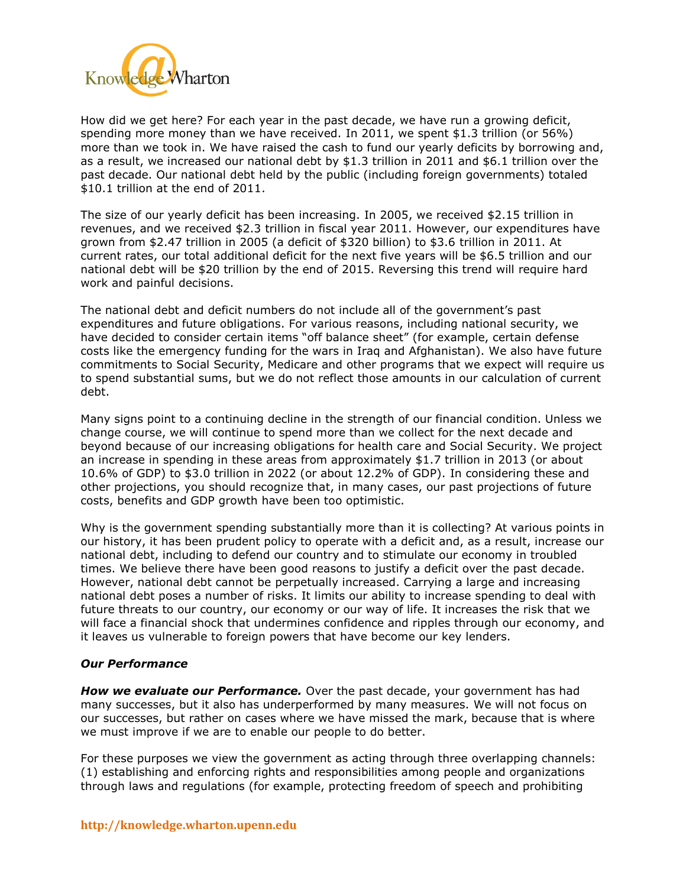

How did we get here? For each year in the past decade, we have run a growing deficit, spending more money than we have received. In 2011, we spent \$1.3 trillion (or 56%) more than we took in. We have raised the cash to fund our yearly deficits by borrowing and, as a result, we increased our national debt by \$1.3 trillion in 2011 and \$6.1 trillion over the past decade. Our national debt held by the public (including foreign governments) totaled \$10.1 trillion at the end of 2011.

The size of our yearly deficit has been increasing. In 2005, we received \$2.15 trillion in revenues, and we received \$2.3 trillion in fiscal year 2011. However, our expenditures have grown from \$2.47 trillion in 2005 (a deficit of \$320 billion) to \$3.6 trillion in 2011. At current rates, our total additional deficit for the next five years will be \$6.5 trillion and our national debt will be \$20 trillion by the end of 2015. Reversing this trend will require hard work and painful decisions.

The national debt and deficit numbers do not include all of the government's past expenditures and future obligations. For various reasons, including national security, we have decided to consider certain items "off balance sheet" (for example, certain defense costs like the emergency funding for the wars in Iraq and Afghanistan). We also have future commitments to Social Security, Medicare and other programs that we expect will require us to spend substantial sums, but we do not reflect those amounts in our calculation of current debt.

Many signs point to a continuing decline in the strength of our financial condition. Unless we change course, we will continue to spend more than we collect for the next decade and beyond because of our increasing obligations for health care and Social Security. We project an increase in spending in these areas from approximately \$1.7 trillion in 2013 (or about 10.6% of GDP) to \$3.0 trillion in 2022 (or about 12.2% of GDP). In considering these and other projections, you should recognize that, in many cases, our past projections of future costs, benefits and GDP growth have been too optimistic.

Why is the government spending substantially more than it is collecting? At various points in our history, it has been prudent policy to operate with a deficit and, as a result, increase our national debt, including to defend our country and to stimulate our economy in troubled times. We believe there have been good reasons to justify a deficit over the past decade. However, national debt cannot be perpetually increased. Carrying a large and increasing national debt poses a number of risks. It limits our ability to increase spending to deal with future threats to our country, our economy or our way of life. It increases the risk that we will face a financial shock that undermines confidence and ripples through our economy, and it leaves us vulnerable to foreign powers that have become our key lenders.

# *Our Performance*

**How we evaluate our Performance.** Over the past decade, your government has had many successes, but it also has underperformed by many measures. We will not focus on our successes, but rather on cases where we have missed the mark, because that is where we must improve if we are to enable our people to do better.

For these purposes we view the government as acting through three overlapping channels: (1) establishing and enforcing rights and responsibilities among people and organizations through laws and regulations (for example, protecting freedom of speech and prohibiting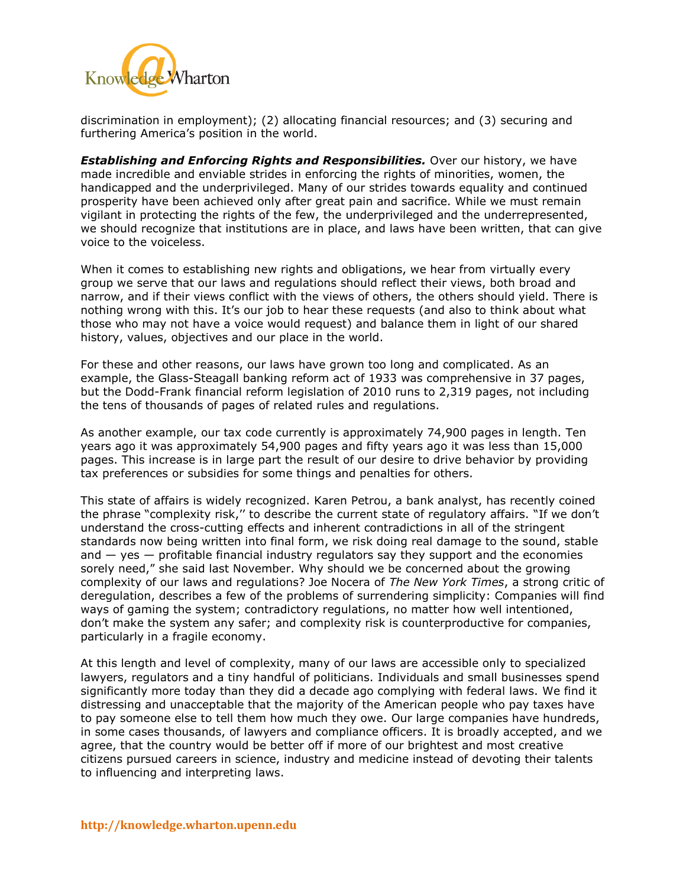

discrimination in employment); (2) allocating financial resources; and (3) securing and furthering America's position in the world.

**Establishing and Enforcing Rights and Responsibilities.** Over our history, we have made incredible and enviable strides in enforcing the rights of minorities, women, the handicapped and the underprivileged. Many of our strides towards equality and continued prosperity have been achieved only after great pain and sacrifice. While we must remain vigilant in protecting the rights of the few, the underprivileged and the underrepresented, we should recognize that institutions are in place, and laws have been written, that can give voice to the voiceless.

When it comes to establishing new rights and obligations, we hear from virtually every group we serve that our laws and regulations should reflect their views, both broad and narrow, and if their views conflict with the views of others, the others should yield. There is nothing wrong with this. It's our job to hear these requests (and also to think about what those who may not have a voice would request) and balance them in light of our shared history, values, objectives and our place in the world.

For these and other reasons, our laws have grown too long and complicated. As an example, the Glass-Steagall banking reform act of 1933 was comprehensive in 37 pages, but the Dodd-Frank financial reform legislation of 2010 runs to 2,319 pages, not including the tens of thousands of pages of related rules and regulations.

As another example, our tax code currently is approximately 74,900 pages in length. Ten years ago it was approximately 54,900 pages and fifty years ago it was less than 15,000 pages. This increase is in large part the result of our desire to drive behavior by providing tax preferences or subsidies for some things and penalties for others.

This state of affairs is widely recognized. Karen Petrou, a bank analyst, has recently coined the phrase "complexity risk,'' to describe the current state of regulatory affairs. "If we don't understand the cross-cutting effects and inherent contradictions in all of the stringent standards now being written into final form, we risk doing real damage to the sound, stable and  $-$  yes  $-$  profitable financial industry regulators say they support and the economies sorely need," she said last November. Why should we be concerned about the growing complexity of our laws and regulations? Joe Nocera of *The New York Times*, a strong critic of deregulation, describes a few of the problems of surrendering simplicity: Companies will find ways of gaming the system; contradictory regulations, no matter how well intentioned, don't make the system any safer; and complexity risk is counterproductive for companies, particularly in a fragile economy.

At this length and level of complexity, many of our laws are accessible only to specialized lawyers, regulators and a tiny handful of politicians. Individuals and small businesses spend significantly more today than they did a decade ago complying with federal laws. We find it distressing and unacceptable that the majority of the American people who pay taxes have to pay someone else to tell them how much they owe. Our large companies have hundreds, in some cases thousands, of lawyers and compliance officers. It is broadly accepted, and we agree, that the country would be better off if more of our brightest and most creative citizens pursued careers in science, industry and medicine instead of devoting their talents to influencing and interpreting laws.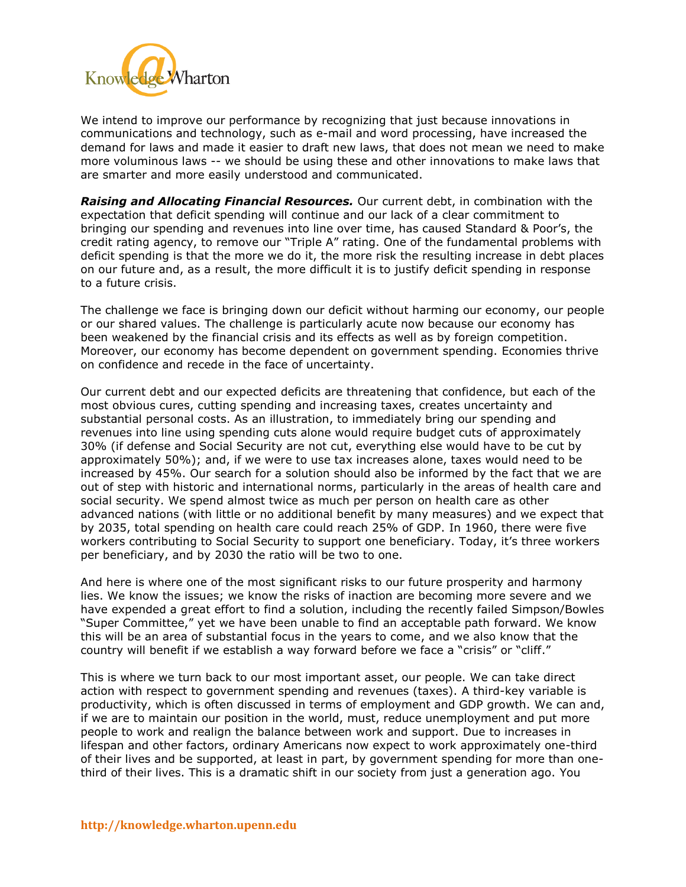

We intend to improve our performance by recognizing that just because innovations in communications and technology, such as e-mail and word processing, have increased the demand for laws and made it easier to draft new laws, that does not mean we need to make more voluminous laws -- we should be using these and other innovations to make laws that are smarter and more easily understood and communicated.

*Raising and Allocating Financial Resources.* Our current debt, in combination with the expectation that deficit spending will continue and our lack of a clear commitment to bringing our spending and revenues into line over time, has caused Standard & Poor's, the credit rating agency, to remove our "Triple A" rating. One of the fundamental problems with deficit spending is that the more we do it, the more risk the resulting increase in debt places on our future and, as a result, the more difficult it is to justify deficit spending in response to a future crisis.

The challenge we face is bringing down our deficit without harming our economy, our people or our shared values. The challenge is particularly acute now because our economy has been weakened by the financial crisis and its effects as well as by foreign competition. Moreover, our economy has become dependent on government spending. Economies thrive on confidence and recede in the face of uncertainty.

Our current debt and our expected deficits are threatening that confidence, but each of the most obvious cures, cutting spending and increasing taxes, creates uncertainty and substantial personal costs. As an illustration, to immediately bring our spending and revenues into line using spending cuts alone would require budget cuts of approximately 30% (if defense and Social Security are not cut, everything else would have to be cut by approximately 50%); and, if we were to use tax increases alone, taxes would need to be increased by 45%. Our search for a solution should also be informed by the fact that we are out of step with historic and international norms, particularly in the areas of health care and social security. We spend almost twice as much per person on health care as other advanced nations (with little or no additional benefit by many measures) and we expect that by 2035, total spending on health care could reach 25% of GDP. In 1960, there were five workers contributing to Social Security to support one beneficiary. Today, it's three workers per beneficiary, and by 2030 the ratio will be two to one.

And here is where one of the most significant risks to our future prosperity and harmony lies. We know the issues; we know the risks of inaction are becoming more severe and we have expended a great effort to find a solution, including the recently failed Simpson/Bowles "Super Committee," yet we have been unable to find an acceptable path forward. We know this will be an area of substantial focus in the years to come, and we also know that the country will benefit if we establish a way forward before we face a "crisis" or "cliff."

This is where we turn back to our most important asset, our people. We can take direct action with respect to government spending and revenues (taxes). A third-key variable is productivity, which is often discussed in terms of employment and GDP growth. We can and, if we are to maintain our position in the world, must, reduce unemployment and put more people to work and realign the balance between work and support. Due to increases in lifespan and other factors, ordinary Americans now expect to work approximately one-third of their lives and be supported, at least in part, by government spending for more than onethird of their lives. This is a dramatic shift in our society from just a generation ago. You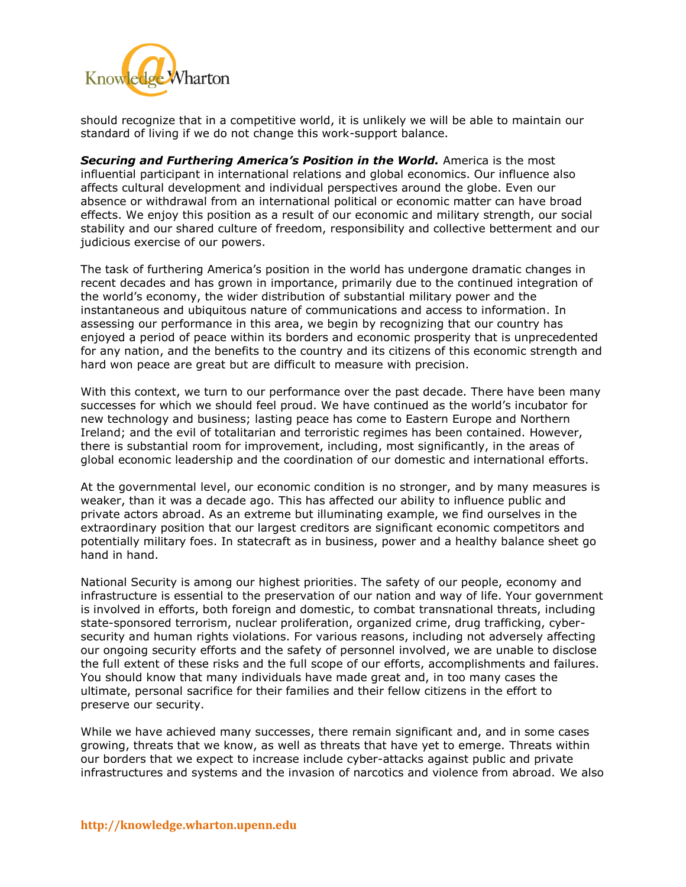

should recognize that in a competitive world, it is unlikely we will be able to maintain our standard of living if we do not change this work-support balance.

*Securing and Furthering America's Position in the World.* America is the most influential participant in international relations and global economics. Our influence also affects cultural development and individual perspectives around the globe. Even our absence or withdrawal from an international political or economic matter can have broad effects. We enjoy this position as a result of our economic and military strength, our social stability and our shared culture of freedom, responsibility and collective betterment and our judicious exercise of our powers.

The task of furthering America's position in the world has undergone dramatic changes in recent decades and has grown in importance, primarily due to the continued integration of the world's economy, the wider distribution of substantial military power and the instantaneous and ubiquitous nature of communications and access to information. In assessing our performance in this area, we begin by recognizing that our country has enjoyed a period of peace within its borders and economic prosperity that is unprecedented for any nation, and the benefits to the country and its citizens of this economic strength and hard won peace are great but are difficult to measure with precision.

With this context, we turn to our performance over the past decade. There have been many successes for which we should feel proud. We have continued as the world's incubator for new technology and business; lasting peace has come to Eastern Europe and Northern Ireland; and the evil of totalitarian and terroristic regimes has been contained. However, there is substantial room for improvement, including, most significantly, in the areas of global economic leadership and the coordination of our domestic and international efforts.

At the governmental level, our economic condition is no stronger, and by many measures is weaker, than it was a decade ago. This has affected our ability to influence public and private actors abroad. As an extreme but illuminating example, we find ourselves in the extraordinary position that our largest creditors are significant economic competitors and potentially military foes. In statecraft as in business, power and a healthy balance sheet go hand in hand.

National Security is among our highest priorities. The safety of our people, economy and infrastructure is essential to the preservation of our nation and way of life. Your government is involved in efforts, both foreign and domestic, to combat transnational threats, including state-sponsored terrorism, nuclear proliferation, organized crime, drug trafficking, cybersecurity and human rights violations. For various reasons, including not adversely affecting our ongoing security efforts and the safety of personnel involved, we are unable to disclose the full extent of these risks and the full scope of our efforts, accomplishments and failures. You should know that many individuals have made great and, in too many cases the ultimate, personal sacrifice for their families and their fellow citizens in the effort to preserve our security.

While we have achieved many successes, there remain significant and, and in some cases growing, threats that we know, as well as threats that have yet to emerge. Threats within our borders that we expect to increase include cyber-attacks against public and private infrastructures and systems and the invasion of narcotics and violence from abroad. We also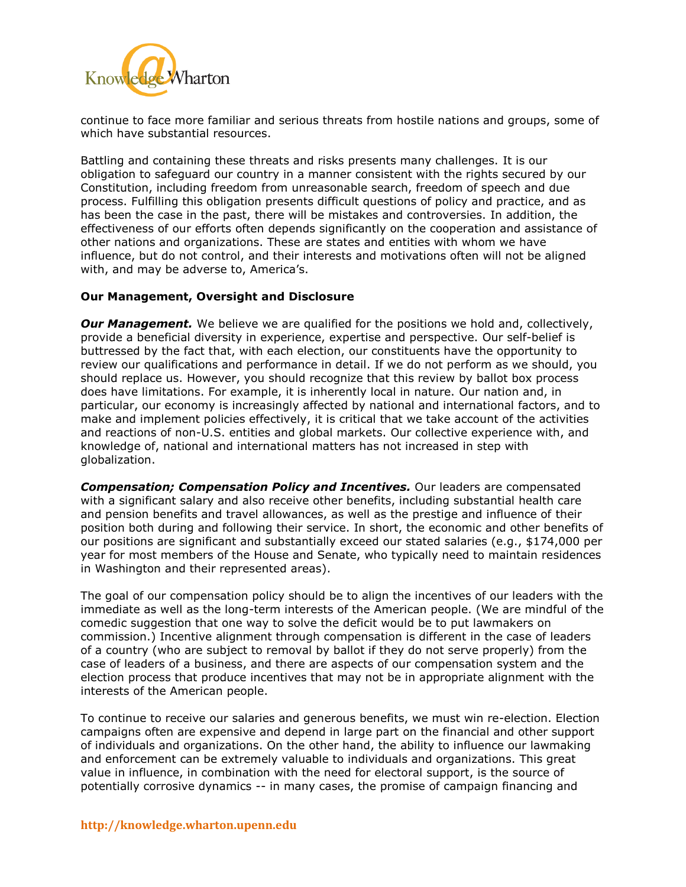

continue to face more familiar and serious threats from hostile nations and groups, some of which have substantial resources.

Battling and containing these threats and risks presents many challenges. It is our obligation to safeguard our country in a manner consistent with the rights secured by our Constitution, including freedom from unreasonable search, freedom of speech and due process. Fulfilling this obligation presents difficult questions of policy and practice, and as has been the case in the past, there will be mistakes and controversies. In addition, the effectiveness of our efforts often depends significantly on the cooperation and assistance of other nations and organizations. These are states and entities with whom we have influence, but do not control, and their interests and motivations often will not be aligned with, and may be adverse to, America's.

### **Our Management, Oversight and Disclosure**

*Our Management.* We believe we are qualified for the positions we hold and, collectively, provide a beneficial diversity in experience, expertise and perspective. Our self-belief is buttressed by the fact that, with each election, our constituents have the opportunity to review our qualifications and performance in detail. If we do not perform as we should, you should replace us. However, you should recognize that this review by ballot box process does have limitations. For example, it is inherently local in nature. Our nation and, in particular, our economy is increasingly affected by national and international factors, and to make and implement policies effectively, it is critical that we take account of the activities and reactions of non-U.S. entities and global markets. Our collective experience with, and knowledge of, national and international matters has not increased in step with globalization.

*Compensation; Compensation Policy and Incentives.* Our leaders are compensated with a significant salary and also receive other benefits, including substantial health care and pension benefits and travel allowances, as well as the prestige and influence of their position both during and following their service. In short, the economic and other benefits of our positions are significant and substantially exceed our stated salaries (e.g., \$174,000 per year for most members of the House and Senate, who typically need to maintain residences in Washington and their represented areas).

The goal of our compensation policy should be to align the incentives of our leaders with the immediate as well as the long-term interests of the American people. (We are mindful of the comedic suggestion that one way to solve the deficit would be to put lawmakers on commission.) Incentive alignment through compensation is different in the case of leaders of a country (who are subject to removal by ballot if they do not serve properly) from the case of leaders of a business, and there are aspects of our compensation system and the election process that produce incentives that may not be in appropriate alignment with the interests of the American people.

To continue to receive our salaries and generous benefits, we must win re-election. Election campaigns often are expensive and depend in large part on the financial and other support of individuals and organizations. On the other hand, the ability to influence our lawmaking and enforcement can be extremely valuable to individuals and organizations. This great value in influence, in combination with the need for electoral support, is the source of potentially corrosive dynamics -- in many cases, the promise of campaign financing and